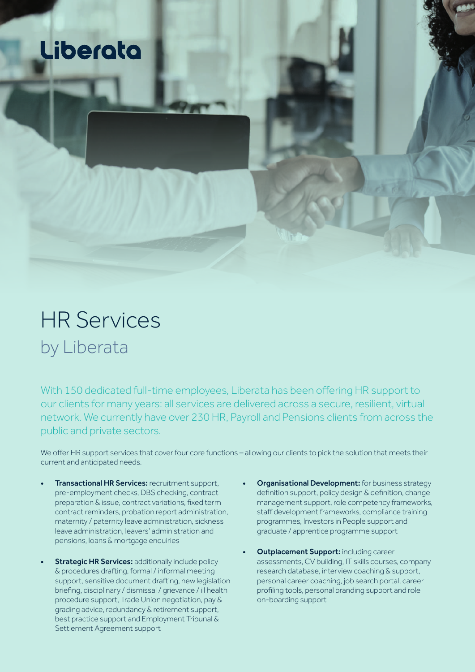## Liberata

## HR Services by Liberata

With 150 dedicated full-time employees, Liberata has been offering HR support to our clients for many years: all services are delivered across a secure, resilient, virtual network. We currently have over 230 HR, Payroll and Pensions clients from across the public and private sectors.

We offer HR support services that cover four core functions – allowing our clients to pick the solution that meets their current and anticipated needs.

- **Transactional HR Services: recruitment support,** pre-employment checks, DBS checking, contract preparation & issue, contract variations, fixed term contract reminders, probation report administration, maternity / paternity leave administration, sickness leave administration, leavers' administration and pensions, loans & mortgage enquiries
- **Strategic HR Services: additionally include policy** & procedures drafting, formal / informal meeting support, sensitive document drafting, new legislation briefing, disciplinary / dismissal / grievance / ill health procedure support, Trade Union negotiation, pay & grading advice, redundancy & retirement support, best practice support and Employment Tribunal & Settlement Agreement support
- **Organisational Development:** for business strategy definition support, policy design & definition, change management support, role competency frameworks, staff development frameworks, compliance training programmes, Investors in People support and graduate / apprentice programme support
- **Outplacement Support: including career** assessments, CV building, IT skills courses, company research database, interview coaching & support, personal career coaching, job search portal, career profiling tools, personal branding support and role on-boarding support